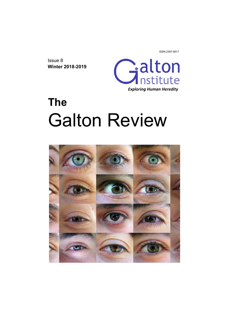ISSN 2397-9917

Issue 8 **Winter 2018-2019** 



# **The**  Galton Review

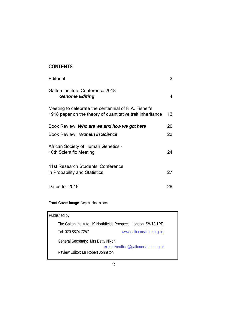## **CONTENTS**

| Editorial                                                                                                          | 3  |
|--------------------------------------------------------------------------------------------------------------------|----|
| Galton Institute Conference 2018<br><b>Genome Editing</b>                                                          | 4  |
| Meeting to celebrate the centennial of R.A. Fisher's<br>1918 paper on the theory of quantitative trait inheritance | 13 |
| Book Review: <b>Who are we and how we got here</b>                                                                 | 20 |
| Book Review: Women in Science                                                                                      | 23 |
| African Society of Human Genetics -<br>10th Scientific Meeting                                                     | 24 |
| 41st Research Students' Conference<br>in Probability and Statistics                                                | 27 |
| Dates for 2019                                                                                                     | 28 |

**Front Cover Image**: Depositphotos.com

| Published by:                                                   |                                        |  |
|-----------------------------------------------------------------|----------------------------------------|--|
| The Galton Institute, 19 Northfields Prospect, London, SW18 1PE |                                        |  |
| Tel: 020 8874 7257                                              | www.galtoninstitute.org.uk             |  |
| General Secretary: Mrs Betty Nixon                              |                                        |  |
| Review Editor: Mr Robert Johnston                               | executiveoffice@galtoninstitute.org.uk |  |
|                                                                 |                                        |  |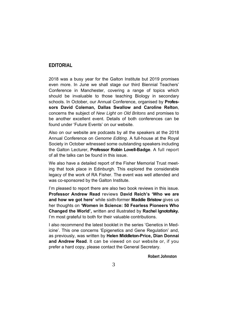## **EDITORIAL**

2018 was a busy year for the Galton Institute but 2019 promises even more. In June we shall stage our third Biennial Teachers' Conference in Manchester, covering a range of topics which should be invaluable to those teaching Biology in secondary schools. In October, our Annual Conference, organised by **Professors David Coleman, Dallas Swallow and Caroline Relton**, concerns the subject of *New Light on Old Britons* and promises to be another excellent event. Details of both conferences can be found under 'Future Events' on our website.

Also on our website are podcasts by all the speakers at the 2018 Annual Conference on *Genome Editing*. A full-house at the Royal Society in October witnessed some outstanding speakers including the Galton Lecturer, **Professor Robin Lovell-Badge**. A full report of all the talks can be found in this issue.

We also have a detailed report of the Fisher Memorial Trust meeting that took place in Edinburgh. This explored the considerable legacy of the work of RA Fisher. The event was well attended and was co-sponsored by the Galton Institute.

I'm pleased to report there are also two book reviews in this issue. **Professor Andrew Read** reviews **David Reich's 'Who we are and how we got here'** while sixth-former **Maddie Bristow** gives us her thoughts on **'Women in Science: 50 Fearless Pioneers Who Changed the World',** written and illustrated by **Rachel Ignotofsky.**  I'm most grateful to both for their valuable contributions.

I also recommend the latest booklet in the series 'Genetics in Medicine'. This one concerns 'Epigenetics and Gene Regulation' and, as previously, was written by **Helen Middleton-Price, Dian Donnai and Andrew Read**. It can be viewed on our website or, if you prefer a hard copy, please contact the General Secretary.

 **Robert Johnston**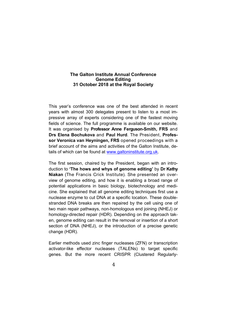#### **The Galton Institute Annual Conference Genome Editing 31 October 2018 at the Royal Society**

This year's conference was one of the best attended in recent years with almost 300 delegates present to listen to a most impressive array of experts considering one of the fastest moving fields of science. The full programme is available on our website. It was organised by **Professor Anne Ferguson-Smith, FRS** and **Drs Elena Bochukova** and **Paul Hurd**. The President, **Professor Veronica van Heyningen, FRS** opened proceedings with a brief account of the aims and activities of the Galton Institute, details of which can be found at www.galtoninstitute.org.uk.

The first session, chaired by the President, began with an introduction to **'The hows and whys of genome editing'** by **Dr Kathy Niakan** (The Francis Crick Institute). She presented an overview of genome editing, and how it is enabling a broad range of potential applications in basic biology, biotechnology and medicine. She explained that all genome editing techniques first use a nuclease enzyme to cut DNA at a specific location. These doublestranded DNA breaks are then repaired by the cell using one of two main repair pathways, non-homologous end joining (NHEJ) or homology-directed repair (HDR). Depending on the approach taken, genome editing can result in the removal or insertion of a short section of DNA (NHEJ), or the introduction of a precise genetic change (HDR).

Earlier methods used zinc finger nucleases (ZFN) or transcription activator-like effector nucleases (TALENs) to target specific genes. But the more recent CRISPR (Clustered Regularly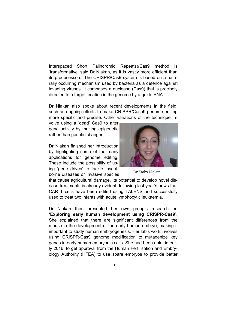Interspaced Short Palindromic Repeats)/Cas9 method is 'transformative' said Dr Niakan, as it is vastly more efficient than its predecessors. The CRISPR/Cas9 system is based on a naturally occurring mechanism used by bacteria as a defence against invading viruses. It comprises a nuclease (Cas9) that is precisely directed to a target location in the genome by a guide RNA.

Dr Niakan also spoke about recent developments in the field, such as ongoing efforts to make CRISPR/Casp9 genome editing more specific and precise. Other variations of the technique in-

volve using a 'dead' Cas9 to alter gene activity by making epigenetic rather than genetic changes.

Dr Niakan finished her introduction by highlighting some of the many applications for genome editing. These include the possibility of using 'gene drives' to tackle insectborne diseases or invasive species



Dr Kathy Niakan

that cause agricultural damage. Its potential to develop novel disease treatments is already evident, following last year's news that CAR T cells have been edited using TALENS and successfully used to treat two infants with acute lymphocytic leukaemia.

Dr Niakan then presented her own group's research on **'Exploring early human development using CRISPR-Cas9'.**  She explained that there are significant differences from the mouse in the development of the early human embryo, making it important to study human embryogenesis. Her lab's work involves using CRISPR-Cas9 genome modification to mutagenize key genes in early human embryonic cells. She had been able, in early 2016, to get approval from the Human Fertilisation and Embryology Authority (HFEA) to use spare embryos to provide better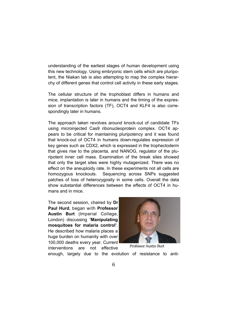understanding of the earliest stages of human development using this new technology. Using embryonic stem cells which are pluripotent, the Niakan lab is also attempting to map the complex hierarchy of different genes that control cell activity in these early stages.

The cellular structure of the trophoblast differs in humans and mice, implantation is later in humans and the timing of the expression of transcription factors (TF), OCT4 and KLF4 is also correspondingly later in humans.

The approach taken revolves around knock-out of candidate TFs using microinjected Cas9 ribonucleoprotein complex. OCT4 appears to be critical for maintaining pluripotency and it was found that knock-out of OCT4 in humans down-regulates expression of key genes such as CDX2, which is expressed in the trophectoderm that gives rise to the placenta, and NANOG, regulator of the pluripotent inner cell mass. Examination of the break sites showed that only the target sites were highly mutagenized. There was no effect on the aneuploidy rate. In these experiments not all cells are homozygous knockouts. Sequencing across SNPs suggested patches of loss of heterozygosity in some cells. Overall the data show substantial differences between the effects of OCT4 in humans and in mice.

The second session, chaired by **Dr Paul Hurd**, began with **Professor Austin Burt** (Imperial College, London) discussing **'Manipulating mosquitoes for malaria control'**. He described how malaria places a huge burden on humanity with over 100,000 deaths every year. Current interventions are not effective



Professor Austin Burt

enough, largely due to the evolution of resistance to anti-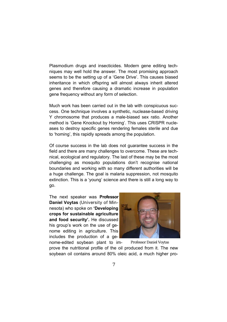Plasmodium drugs and insecticides. Modern gene editing techniques may well hold the answer. The most promising approach seems to be the setting up of a 'Gene Drive'. This causes biased inheritance in which offspring will almost always inherit altered genes and therefore causing a dramatic increase in population gene frequency without any form of selection.

Much work has been carried out in the lab with conspicuous success. One technique involves a synthetic, nuclease-based driving Y chromosome that produces a male-biased sex ratio. Another method is 'Gene Knockout by Homing'. This uses CRISPR nucleases to destroy specific genes rendering females sterile and due to 'homing', this rapidly spreads among the population.

Of course success in the lab does not guarantee success in the field and there are many challenges to overcome. These are technical, ecological and regulatory. The last of these may be the most challenging as mosquito populations don't recognise national boundaries and working with so many different authorities will be a huge challenge. The goal is malaria suppression, not mosquito extinction. This is a 'young' science and there is still a long way to go.

The next speaker was **Professor Daniel Voytas** (University of Minnesota) who spoke on **'Developing crops for sustainable agriculture and food security'.** He discussed his group's work on the use of genome editing in agriculture. This includes the production of a ge-



nome-edited soybean plant to im-Professor Daniel Voytas

prove the nutritional profile of the oil produced from it. The new soybean oil contains around 80% oleic acid, a much higher pro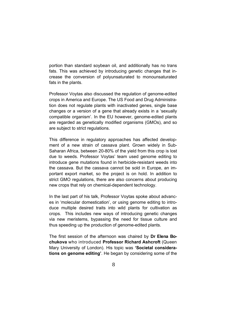portion than standard soybean oil, and additionally has no trans fats. This was achieved by introducing genetic changes that increase the conversion of polyunsaturated to monounsaturated fats in the plants.

Professor Voytas also discussed the regulation of genome-edited crops in America and Europe. The US Food and Drug Administration does not regulate plants with inactivated genes, single base changes or a version of a gene that already exists in a 'sexually compatible organism'. In the EU however, genome-edited plants are regarded as genetically modified organisms (GMOs), and so are subject to strict regulations.

This difference in regulatory approaches has affected development of a new strain of cassava plant. Grown widely in Sub-Saharan Africa, between 20-80% of the yield from this crop is lost due to weeds. Professor Voytas' team used genome editing to introduce gene mutations found in herbicide-resistant weeds into the cassava. But the cassava cannot be sold in Europe, an important export market, so the project is on hold. In addition to strict GMO regulations, there are also concerns about producing new crops that rely on chemical-dependent technology.

In the last part of his talk, Professor Voytas spoke about advances in 'molecular domestication', or using genome editing to introduce multiple desired traits into wild plants for cultivation as crops. This includes new ways of introducing genetic changes via new meristems, bypassing the need for tissue culture and thus speeding up the production of genome-edited plants.

The first session of the afternoon was chaired by **Dr Elena Bochukova** who introduced **Professor Richard Ashcroft** (Queen Mary University of London). His topic was **'Societal considerations on genome editing'**. He began by considering some of the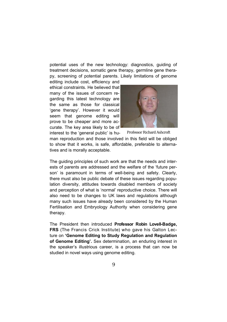potential uses of the new technology: diagnostics, guiding of treatment decisions, somatic gene therapy, germline gene therapy, screening of potential parents. Likely limitations of genome

editing include cost, efficiency and ethical constraints. He believed that many of the issues of concern regarding this latest technology are the same as those for classical 'gene therapy'. However it would seem that genome editing will prove to be cheaper and more accurate. The key area likely to be of

interest to the 'general public' is hu-



Professor Richard Ashcroft

man reproduction and those involved in this field will be obliged to show that it works, is safe, affordable, preferable to alternatives and is morally acceptable.

The guiding principles of such work are that the needs and interests of parents are addressed and the welfare of the 'future person' is paramount in terms of well-being and safety. Clearly, there must also be public debate of these issues regarding population diversity, attitudes towards disabled members of society and perception of what is 'normal' reproductive choice. There will also need to be changes to UK laws and regulations although many such issues have already been considered by the Human Fertilisation and Embryology Authority when considering gene therapy.

The President then introduced **Professor Robin Lovell-Badge, FRS** (The Francis Crick Institute) who gave his Galton Lecture on **'Genome Editing to Study Regulation and Regulation of Genome Editing'.** Sex determination, an enduring interest in the speaker's illustrious career, is a process that can now be studied in novel ways using genome editing.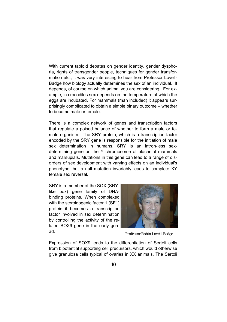With current tabloid debates on gender identity, gender dysphoria, rights of transgender people, techniques for gender transformation etc., it was very interesting to hear from Professor Lovell-Badge how biology actually determines the sex of an individual. It depends, of course on which animal you are considering. For example, in crocodiles sex depends on the temperature at which the eggs are incubated. For mammals (man included) it appears surprisingly complicated to obtain a simple binary outcome – whether to become male or female.

There is a complex network of genes and transcription factors that regulate a poised balance of whether to form a male or female organism. The SRY protein, which is a transcription factor encoded by the SRY gene is responsible for the initiation of male sex determination in humans. SRY is an intron-less sexdetermining gene on the Y chromosome of placental mammals and marsupials. Mutations in this gene can lead to a range of disorders of sex development with varying effects on an individual's phenotype, but a null mutation invariably leads to complete XY female sex reversal.

SRY is a member of the SOX (SRYlike box) gene family of DNAbinding proteins. When complexed with the steroidogenic factor 1 (SF1) protein it becomes a transcription factor involved in sex determination by controlling the activity of the related SOX9 gene in the early gonad.



Professor Robin Lovell-Badge

Expression of SOX9 leads to the differentiation of Sertoli cells from bipotential supporting cell precursors, which would otherwise give granulosa cells typical of ovaries in XX animals. The Sertoli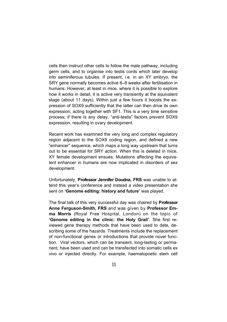cells then instruct other cells to follow the male pathway, including germ cells, and to organise into testis cords which later develop into seminiferous tubules. If present, i.e. in an XY embryo, the SRY gene normally becomes active 6–8 weeks after fertilisation in humans. However, at least in mice, where it is possible to explore how it works in detail, it is active very transiently at the equivalent stage (about 11 days). Within just a few hours it boosts the expression of SOX9 sufficiently that the latter can then drive its own expression, acting together with SF1. This is a very time sensitive process; if there is any delay, "anti-testis" factors prevent SOX9 expression, resulting in ovary development.

Recent work has examined the very long and complex regulatory region adjacent to the SOX9 coding region, and defined a new "enhancer" sequence, which maps a long way upstream that turns out to be essential for SRY action. When this is deleted in mice, XY female development ensues. Mutations affecting the equivalent enhancer in humans are now implicated in disorders of sex development.

Unfortunately, **Professor Jennifer Doudna, FRS** was unable to attend this year's conference and instead a video presentation she sent on **'Genome editing: history and future'** was played.

The final talk of this very successful day was chaired by **Professor Anne Ferguson-Smith, FRS** and was given by **Professor Emma Morris** (Royal Free Hospital, London) on the topic of **'Genome editing in the clinic: the Holy Grail'**. She first reviewed gene therapy methods that have been used to date, describing some of the hazards. Treatments include the replacement of non-functional genes or introductions that provide novel function. Viral vectors, which can be transient, long-lasting or permanent, have been used and can be transfected into somatic cells ex vivo or injected directly. For example, haematopoetic stem cell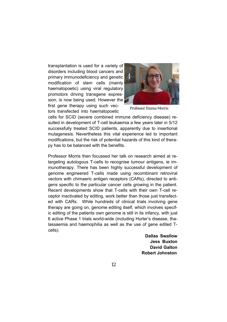transplantation is used for a variety of disorders including blood cancers and primary immunodeficiency and genetic modification of stem cells (mainly haematopoetic) using viral regulatory promotors driving transgene expression, is now being used. However the first gene therapy using such vec-

tors transfected into haematopoetic



Professor Emma Morris

cells for SCID (severe combined immune deficiency disease) resulted in development of T-cell leukaemia a few years later in 5/12 successfully treated SCID patients, apparently due to insertional mutagenesis. Nevertheless this vital experience led to important modifications, but the risk of potential hazards of this kind of therapy has to be balanced with the benefits.

Professor Morris then focussed her talk on research aimed at retargeting autologous T-cells to recognise tumour antigens, ie immunotherapy. There has been highly successful development of genome engineered T-cells made using recombinant retroviral vectors with chimaeric antigen receptors (CARs), directed to antigens specific to the particular cancer cells growing in the patient. Recent developments show that T-cells with their own T-cell receptor inactivated by editing, work better than those just transfected with CARs. While hundreds of clinical trials involving gene therapy are going on, genome editing itself, which involves specific editing of the patients own genome is still in its infancy, with just 6 active Phase 1 trials world-wide (including Hurler's disease, thalassaemia and haemophilia as well as the use of gene edited Tcells).

> **Dallas Swallow Jess Buxton David Galton Robert Johnston**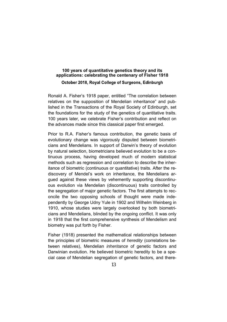## **100 years of quantitative genetics theory and its applications: celebrating the centenary of Fisher 1918**  October 2018, Royal College of Surgeons, Edinburgh

Ronald A. Fisher's 1918 paper, entitled "The correlation between relatives on the supposition of Mendelian inheritance" and published in the Transactions of the Royal Society of Edinburgh, set the foundations for the study of the genetics of quantitative traits. 100 years later, we celebrate Fisher's contribution and reflect on the advances made since this classical paper first emerged.

Prior to R.A. Fisher's famous contribution, the genetic basis of evolutionary change was vigorously disputed between biometricians and Mendelians. In support of Darwin's theory of evolution by natural selection, biometricians believed evolution to be a continuous process, having developed much of modern statistical methods such as regression and correlation to describe the inheritance of biometric (continuous or quantitative) traits. After the rediscovery of Mendel's work on inheritance, the Mendelians argued against these views by vehemently supporting discontinuous evolution via Mendelian (discontinuous) traits controlled by the segregation of major genetic factors. The first attempts to reconcile the two opposing schools of thought were made independently by George Udny Yule in 1902 and Wilhelm Weinberg in 1910, whose studies were largely overlooked by both biometricians and Mendelians, blinded by the ongoing conflict. It was only in 1918 that the first comprehensive synthesis of Mendelism and biometry was put forth by Fisher.

Fisher (1918) presented the mathematical relationships between the principles of biometric measures of *heredity* (correlations between relatives), Mendelian *inheritance* of genetic factors and Darwinian evolution. He believed biometric heredity to be a special case of Mendelian segregation of genetic factors, and there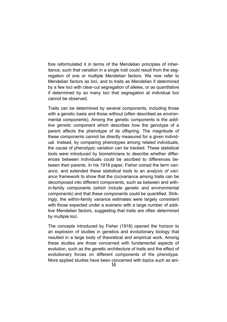fore reformulated it in terms of the Mendelian principles of inheritance, such that variation in a single trait could result from the segregation of one or multiple Mendelian factors. We now refer to Mendelian factors as loci, and to traits as Mendelian if determined by a few loci with clear-cut segregation of alleles, or as quantitative if determined by so many loci that segregation at individual loci cannot be observed.

Traits can be determined by several components, including those with a genetic basis and those without (often described as environmental components). Among the genetic components is the *additive genetic* component which describes how the genotype of a parent affects the phenotype of its offspring. The magnitude of these components cannot be directly measured for a given individual. Instead, by comparing phenotypes among related individuals, the cause of phenotypic variation can be tracked. These statistical tools were introduced by biometricians to describe whether differences between individuals could be ascribed to differences between their parents. In his 1918 paper, Fisher coined the term *variance,* and extended these statistical tools to an *analysis of variance* framework to show that the (co)variance among traits can be decomposed into different components, such as between and within-family components (which include genetic and environmental components) and that these components could be quantified. Strikingly, the within-family variance estimates were largely consistent with those expected under a scenario with a large number of additive Mendelian factors, suggesting that traits are often determined by multiple loci.

The concepts introduced by Fisher (1918) opened the horizon to an explosion of studies in genetics and evolutionary biology that resulted in a large body of theoretical and empirical work. Among these studies are those concerned with fundamental aspects of evolution, such as the genetic architecture of traits and the effect of evolutionary forces on different components of the phenotype. More applied studies have been concerned with topics such as ani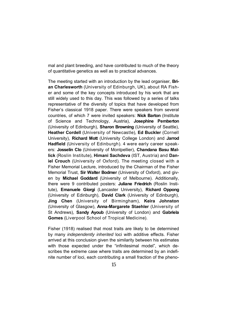mal and plant breeding, and have contributed to much of the theory of quantitative genetics as well as to practical advances.

The meeting started with an introduction by the lead organiser, **Brian Charlesworth** (University of Edinburgh, UK), about RA Fisher and some of the key concepts introduced by his work that are still widely used to this day. This was followed by a series of talks representative of the diversity of topics that have developed from Fisher's classical 1918 paper. There were speakers from several countries, of which 7 were invited speakers: **Nick Barton** (Institute of Science and Technology, Austria), **Josephine Pemberton** (University of Edinburgh), **Sharon Browning** (University of Seattle), **Heather Cordell** (University of Newcastle), **Ed Buckler** (Cornell University), **Richard Mott** (University College London) and **Jarrod Hadfield** (University of Edinburgh). 4 were early career speakers: **Josselin Clo** (University of Montpellier), **Chandana Basu Mallick** (Roslin Institute), **Himani Sachdeva** (IST, Austria) and **Daniel Crouch** (University of Oxford). The meeting closed with a Fisher Memorial Lecture, introduced by the Chairman of the Fisher Memorial Trust, **Sir Walter Bodmer** (University of Oxford), and given by **Michael Goddard** (University of Melbourne). Additionally, there were 9 contributed posters: **Juliane Friedrich** (Roslin Institute), **Emanuele Giorgi** (Lancaster University), **Richard Oppong** (University of Edinburgh), **David Clark** (University of Edinburgh), **Jing Chen** (University of Birmingham), **Keira Johnston** (University of Glasgow), **Anna-Margarete Staehler** (University of St Andrews), **Sandy Ayoub** (University of London) and **Gabriela Gomes** (Liverpool School of Tropical Medicine).

Fisher (1918) realised that most traits are likely to be determined by many *independently inherited* loci with additive effects. Fisher arrived at this conclusion given the similarity between his estimates with those expected under the "infinitesimal model", which describes the extreme case where traits are determined by an indefinite number of loci, each contributing a small fraction of the pheno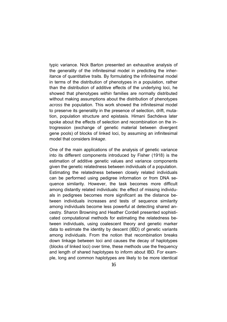typic variance. Nick Barton presented an exhaustive analysis of the generality of the infinitesimal model in predicting the inheritance of quantitative traits. By formulating the infinitesimal model in terms of the distribution of phenotypes in a population, rather than the distribution of additive effects of the underlying loci, he showed that phenotypes *within* families are normally distributed without making assumptions about the distribution of phenotypes *across* the population. This work showed the infinitesimal model to preserve its generality in the presence of selection, drift, mutation, population structure and epistasis. Himani Sachdeva later spoke about the effects of selection and recombination on the introgression (exchange of genetic material between divergent gene pools) of blocks of linked loci, by assuming an infinitesimal model that considers *linkage*.

One of the main applications of the analysis of genetic variance into its different components introduced by Fisher (1918) is the estimation of additive genetic values and variance components given the genetic relatedness between individuals of a population. Estimating the relatedness between closely related individuals can be performed using pedigree information or from DNA sequence similarity. However, the task becomes more difficult among distantly related individuals: the effect of missing individuals in pedigrees becomes more significant as the distance between individuals increases and tests of sequence similarity among individuals become less powerful at detecting shared ancestry. Sharon Browning and Heather Cordell presented sophisticated computational methods for estimating the relatedness between individuals, using coalescent theory and genetic marker data to estimate the identity by descent (IBD) of genetic variants among individuals. From the notion that recombination breaks down linkage between loci and causes the decay of haplotypes (blocks of linked loci) over time, these methods use the frequency and length of shared haplotypes to inform about IBD. For example, long and common haplotypes are likely to be more identical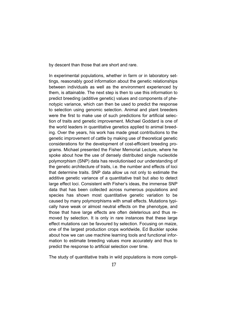by descent than those that are short and rare.

In experimental populations, whether in farm or in laboratory settings, reasonably good information about the genetic relationships between individuals as well as the environment experienced by them, is attainable. The next step is then to use this information to predict breeding (additive genetic) values and components of phenotypic variance, which can then be used to predict the response to selection using genomic selection. Animal and plant breeders were the first to make use of such predictions for artificial selection of traits and genetic improvement. Michael Goddard is one of the world leaders in quantitative genetics applied to animal breeding. Over the years, his work has made great contributions to the genetic improvement of cattle by making use of theoretical genetic considerations for the development of cost-efficient breeding programs. Michael presented the Fisher Memorial Lecture, where he spoke about how the use of densely distributed single nucleotide polymorphism (SNP) data has revolutionised our understanding of the genetic architecture of traits, i.e. the number and effects of loci that determine traits. SNP data allow us not only to estimate the additive genetic variance of a quantitative trait but also to detect large effect loci. Consistent with Fisher's ideas, the immense SNP data that has been collected across numerous populations and species has shown most quantitative genetic variation to be caused by many polymorphisms with small effects. Mutations typically have weak or almost neutral effects on the phenotype, and those that have large effects are often deleterious and thus removed by selection. It is only in rare instances that these large effect mutations can be favoured by selection. Focusing on maize, one of the largest production crops worldwide, Ed Buckler spoke about how we can use machine learning tools and functional information to estimate breeding values more accurately and thus to predict the response to artificial selection over time.

The study of quantitative traits in wild populations is more compli-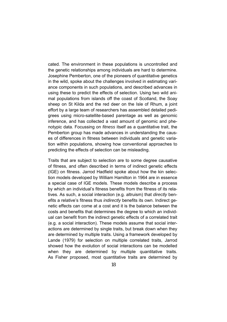cated. The environment in these populations is uncontrolled and the genetic relationships among individuals are hard to determine. Josephine Pemberton, one of the pioneers of quantitative genetics in the wild, spoke about the challenges involved in estimating variance components in such populations, and described advances in using these to predict the effects of selection. Using two wild animal populations from islands off the coast of Scotland, the Soay sheep on St Kilda and the red deer on the Isle of Rhum, a joint effort by a large team of researchers has assembled detailed pedigrees using micro-satellite-based parentage as well as genomic inference, and has collected a vast amount of genomic and phenotypic data. Focussing on *fitness* itself as a quantitative trait, the Pemberton group has made advances in understanding the causes of differences in fitness between individuals and genetic variation within populations, showing how conventional approaches to predicting the effects of selection can be misleading.

Traits that are subject to selection are to some degree causative of fitness, and often described in terms of indirect genetic effects (IGE) on fitness. Jarrod Hadfield spoke about how the kin selection models developed by William Hamilton in 1964 are in essence a special case of IGE models. These models describe a process by which an individual's fitness benefits from the fitness of its relatives. As such, a social interaction (e.g. altruism) that *directly* benefits a relative's fitness thus *indirectly* benefits its own. Indirect genetic effects can come at a cost and it is the balance between the costs and benefits that determines the degree to which an individual can benefit from the indirect genetic effects of a correlated trait (e.g. a social interaction). These models assume that social interactions are determined by single traits, but break down when they are determined by multiple traits. Using a framework developed by Lande (1979) for selection on multiple correlated traits, Jarrod showed how the evolution of social interactions can be modelled when they are determined by multiple quantitative traits. As Fisher proposed, most quantitative traits are determined by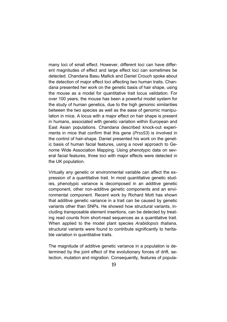many loci of small effect. However, different loci can have different magnitudes of effect and large effect loci can sometimes be detected. Chandana Basu Mallick and Daniel Crouch spoke about the detection of major effect loci affecting two human traits. Chandana presented her work on the genetic basis of hair shape, using the mouse as a model for quantitative trait locus validation. For over 100 years, the mouse has been a powerful model system for the study of human genetics, due to the high genomic similarities between the two species as well as the ease of genomic manipulation in mice. A locus with a major effect on hair shape is present in humans, associated with genetic variation within European and East Asian populations. Chandana described knock-out experiments in mice that confirm that this gene (*Prss53*) is involved in the control of hair-shape. Daniel presented his work on the genetic basis of human facial features, using a novel approach to Genome Wide Association Mapping. Using phenotypic data on several facial features, three loci with major effects were detected in the UK population.

Virtually any genetic or environmental variable can affect the expression of a quantitative trait. In most quantitative genetic studies, phenotypic variance is decomposed in an additive genetic component, other non-additive genetic components and an environmental component. Recent work by Richard Mott has shown that additive genetic variance in a trait can be caused by genetic variants other than SNPs. He showed how structural variants, including transposable element insertions, can be detected by treating read counts from short-read sequences as a quantitative trait. When applied to the model plant species *Arabidopsis thaliana*, structural variants were found to contribute significantly to heritable variation in quantitative traits.

The magnitude of additive genetic variance in a population is determined by the joint effect of the evolutionary forces of drift, selection, mutation and migration. Consequently, features of popula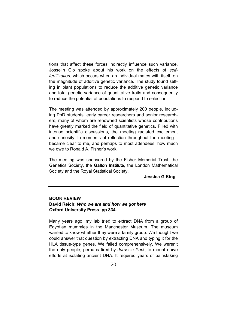tions that affect these forces indirectly influence such variance. Josselin Clo spoke about his work on the effects of *selffertilization*, which occurs when an individual mates with itself, on the magnitude of additive genetic variance. The study found selfing in plant populations to reduce the additive genetic variance and total genetic variance of quantitative traits and consequently to reduce the potential of populations to respond to selection.

The meeting was attended by approximately 200 people, including PhD students, early career researchers and senior researchers, many of whom are renowned scientists whose contributions have greatly marked the field of quantitative genetics. Filled with intense scientific discussions, the meeting radiated excitement and curiosity. In moments of reflection throughout the meeting it became clear to me, and perhaps to most attendees, how much we owe to Ronald A. Fisher's work.

The meeting was sponsored by the Fisher Memorial Trust, the Genetics Society, the **Galton Institute**, the London Mathematical Society and the Royal Statistical Society.

**Jessica G King** 

## **BOOK REVIEW David Reich:** *Who we are and how we got here*  **Oxford University Press pp 334.**

Many years ago, my lab tried to extract DNA from a group of Egyptian mummies in the Manchester Museum. The museum wanted to know whether they were a family group. We thought we could answer that question by extracting DNA and typing it for the HLA tissue-type genes. We failed comprehensively. We weren't the only people, perhaps fired by *Jurassic Park*, to mount naïve efforts at isolating ancient DNA. It required years of painstaking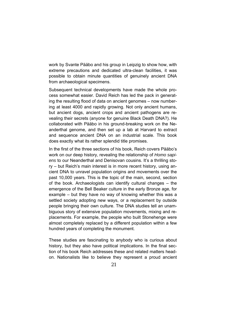work by Svante Pääbo and his group in Leipzig to show how, with extreme precautions and dedicated ultra-clean facilities, it was possible to obtain minute quantities of genuinely ancient DNA from archaeological specimens.

Subsequent technical developments have made the whole process somewhat easier. David Reich has led the pack in generating the resulting flood of data on ancient genomes – now numbering at least 4000 and rapidly growing. Not only ancient humans, but ancient dogs, ancient crops and ancient pathogens are revealing their secrets (anyone for genuine Black Death DNA?). He collaborated with Pääbo in his ground-breaking work on the Neanderthal genome, and then set up a lab at Harvard to extract and sequence ancient DNA on an industrial scale. This book does exactly what its rather splendid title promises.

In the first of the three sections of his book, Reich covers Pääbo's work on our deep history, revealing the relationship of *Homo sapiens* to our Neanderthal and Denisovan cousins. It's a thrilling story – but Reich's main interest is in more recent history, using ancient DNA to unravel population origins and movements over the past 10,000 years. This is the topic of the main, second, section of the book. Archaeologists can identify cultural changes – the emergence of the Bell Beaker culture in the early Bronze age, for example – but they have no way of knowing whether this was a settled society adopting new ways, or a replacement by outside people bringing their own culture. The DNA studies tell an unambiguous story of extensive population movements, mixing and replacements. For example, the people who built Stonehenge were almost completely replaced by a different population within a few hundred years of completing the monument.

These studies are fascinating to anybody who is curious about history, but they also have political implications. In the final section of his book Reich addresses these and related matters headon. Nationalists like to believe they represent a proud ancient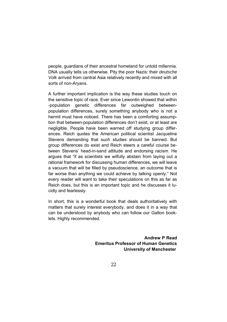people, guardians of their ancestral homeland for untold millennia. DNA usually tells us otherwise. Pity the poor Nazis: their *deutsche Volk* arrived from central Asia relatively recently and mixed with all sorts of non-Aryans.

A further important implication is the way these studies touch on the sensitive topic of race. Ever since Lewontin showed that within -population genetic differences far outweighed betweenpopulation differences, surely something anybody who is not a hermit must have noticed. There has been a comforting assumption that between-population differences don't exist, or at least are negligible. People have been warned off studying group differences. Reich quotes the American political scientist Jacqueline Stevens demanding that such studies should be banned. But group differences do exist and Reich steers a careful course between Stevens' head-in-sand attitude and endorsing racism. He argues that "if as scientists we wilfully abstain from laying out a rational framework for discussing human differences, we will leave a vacuum that will be filled by pseudoscience, an outcome that is far worse than anything we could achieve by talking openly." Not every reader will want to take their speculations on this as far as Reich does, but this is an important topic and he discusses it lucidly and fearlessly.

In short, this is a wonderful book that deals authoritatively with matters that surely interest everybody, and does it in a way that can be understood by anybody who can follow our Galton booklets. Highly recommended.

> **Andrew P Read Emeritus Professor of Human Genetics University of Manchester**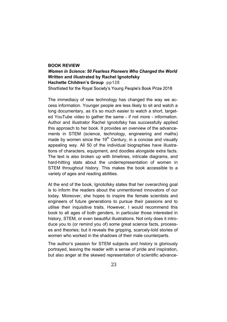#### **BOOK REVIEW**

Women in Science: 50 Fearless Pioneers Who Changed the World **Written and illustrated by Rachel Ignotofsky Hachette Children's Group** pp128 . Shortlisted for the Royal Society's Young People's Book Prize 2018

The immediacy of new technology has changed the way we access information. Younger people are less likely to sit and watch a long documentary, as it's so much easier to watch a short, targeted YouTube video to gather the same - if not more - information. Author and illustrator Rachel Ignotofsky has successfully applied this approach to her book. It provides an overview of the advancements in STEM (science, technology, engineering and maths) made by women since the  $19<sup>th</sup>$  Century, in a concise and visually appealing way. All 50 of the individual biographies have illustrations of characters, equipment, and doodles alongside extra facts. The text is also broken up with timelines, intricate diagrams, and hard-hitting stats about the underrepresentation of women in STEM throughout history. This makes the book accessible to a variety of ages and reading abilities.

At the end of the book, Ignotofsky states that her overarching goal is to inform the readers about the unmentioned innovators of our today. Moreover, she hopes to inspire the female scientists and engineers of future generations to pursue their passions and to utilise their inquisitive traits. However, I would recommend this book to all ages of both genders, in particular those interested in history, STEM, or even beautiful illustrations. Not only does it introduce you to (or remind you of) some great science facts, processes and theories; but it reveals the gripping, scarcely-told stories of women who worked in the shadows of their male counterparts.

The author's passion for STEM subjects and history is gloriously portrayed, leaving the reader with a sense of pride and inspiration, but also anger at the skewed representation of scientific advance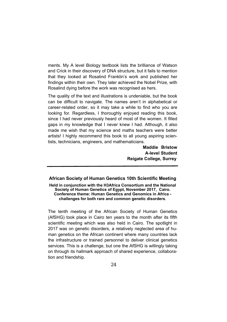ments. My A level Biology textbook lists the brilliance of Watson and Crick in their discovery of DNA structure, but it fails to mention that they looked at Rosalind Franklin's work and published her findings within their own. They later achieved the Nobel Prize, with Rosalind dying before the work was recognised as hers.

The quality of the text and illustrations is undeniable, but the book can be difficult to navigate. The names aren't in alphabetical or career-related order, so it may take a while to find who you are looking for. Regardless, I thoroughly enjoyed reading this book, since I had never previously heard of most of the women. It filled gaps in my knowledge that I never knew I had. Although, it also made me wish that my science and maths teachers were better artists! I highly recommend this book to all young aspiring scientists, technicians, engineers, and mathematicians.

> **Maddie Bristow A-level Student Reigate College, Surrey**

#### **African Society of Human Genetics 10th Scientific Meeting**

**Held in conjunction with the H3Africa Consortium and the National Society of Human Genetics of Egypt, November 2017, Cairo. Conference theme: Human Genetics and Genomics in Africa challenges for both rare and common genetic disorders**.

The tenth meeting of the African Society of Human Genetics (AfSHG) took place in Cairo ten years to the month after its fifth scientific meeting which was also held in Cairo. The spotlight in 2017 was on genetic disorders, a relatively neglected area of human genetics on the African continent where many countries lack the infrastructure or trained personnel to deliver clinical genetics services. This is a challenge, but one the AfSHG is willingly taking on through its hallmark approach of shared experience, collaboration and friendship.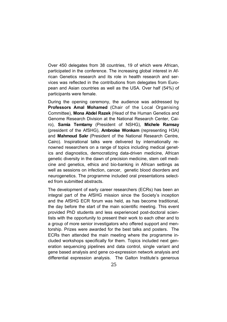Over 450 delegates from 38 countries, 19 of which were African, participated in the conference. The increasing global interest in African Genetics research and its role in health research and services was reflected in the contributions from delegates from European and Asian countries as well as the USA. Over half (54%) of participants were female.

During the opening ceremony, the audience was addressed by **Professors Amal Mohamed** (Chair of the Local Organising Committee), **Mona Abdel Razek** (Head of the Human Genetics and Genome Research Division at the National Research Center, Cairo), **Samia Temtamy** (President of NSHG), **Michele Ramsay** (president of the AfSHG), **Ambroise Wonkam** (representing H3A) and **Mahmoud Sakr** (President of the National Research Centre, Cairo). Inspirational talks were delivered by internationally renowned researchers on a range of topics including medical genetics and diagnostics, democratizing data-driven medicine, African genetic diversity in the dawn of precision medicine, stem cell medicine and genetics, ethics and bio-banking in African settings as well as sessions on infection, cancer, genetic blood disorders and neurogenetics. The programme included oral presentations selected from submitted abstracts.

The development of early career researchers (ECRs) has been an integral part of the AfSHG mission since the Society's inception and the AfSHG ECR forum was held, as has become traditional, the day before the start of the main scientific meeting. This event provided PhD students and less experienced post-doctoral scientists with the opportunity to present their work to each other and to a group of more senior investigators who offered support and mentorship. Prizes were awarded for the best talks and posters. The ECRs then attended the main meeting where the programme included workshops specifically for them. Topics included next generation sequencing pipelines and data control, single variant and gene based analysis and gene co-expression network analysis and differential expression analysis. The Galton Institute's generous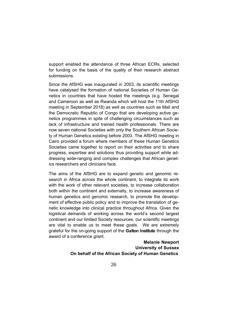support enabled the attendance of three African ECRs, selected for funding on the basis of the quality of their research abstract submissions.

Since the AfSHG was inaugurated in 2003, its scientific meetings have catalysed the formation of national Societies of Human Genetics in countries that have hosted the meetings (e.g. Senegal and Cameroon as well as Rwanda which will host the 11th AfSHG meeting in September 2018) as well as countries such as Mali and the Democratic Republic of Congo that are developing active genetics programmes in spite of challenging circumstances such as lack of infrastructure and trained health professionals. There are now seven national Societies with only the Southern African Society of Human Genetics existing before 2003. The AfSHG meeting in Cairo provided a forum where members of these Human Genetics Societies came together to report on their activities and to share progress, expertise and solutions thus providing support while addressing wide-ranging and complex challenges that African genetics researchers and clinicians face.

The aims of the AfSHG are to expand genetic and genomic research in Africa across the whole continent, to integrate its work with the work of other relevant societies, to increase collaboration both within the continent and externally, to increase awareness of human genetics and genomic research, to promote the development of effective public policy and to improve the translation of genetic knowledge into clinical practice throughout Africa. Given the logistical demands of working across the world's second largest continent and our limited Society resources, our scientific meetings are vital to enable us to meet these goals. We are extremely grateful for the on-going support of the **Galton Institute** through the award of a conference grant.

## **Melanie Newport University of Sussex On behalf of the African Society of Human Genetics**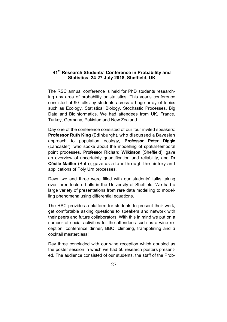#### **41st Research Students' Conference in Probability and Statistics 24-27 July 2018, Sheffield, UK**

The RSC annual conference is held for PhD students researching any area of probability or statistics. This year's conference consisted of 90 talks by students across a huge array of topics such as Ecology, Statistical Biology, Stochastic Processes, Big Data and Bioinformatics. We had attendees from UK, France, Turkey, Germany, Pakistan and New Zealand.

Day one of the conference consisted of our four invited speakers: **Professor Ruth King** (Edinburgh), who discussed a Bayesian approach to population ecology, **Professor Peter Diggle**  (Lancaster), who spoke about the modelling of spatial-temporal point processes, **Professor Richard Wilkinson** (Sheffield), gave an overview of uncertainty quantification and reliability, and **Dr Cécile Mailler** (Bath), gave us a tour through the history and applications of Póly Urn processes.

Days two and three were filled with our students' talks taking over three lecture halls in the University of Sheffield. We had a large variety of presentations from rare data modelling to modelling phenomena using differential equations.

The RSC provides a platform for students to present their work, get comfortable asking questions to speakers and network with their peers and future collaborators. With this in mind we put on a number of social activities for the attendees such as a wine reception, conference dinner, BBQ, climbing, trampolining and a cocktail masterclass!

Day three concluded with our wine reception which doubled as the poster session in which we had 50 research posters presented. The audience consisted of our students, the staff of the Prob